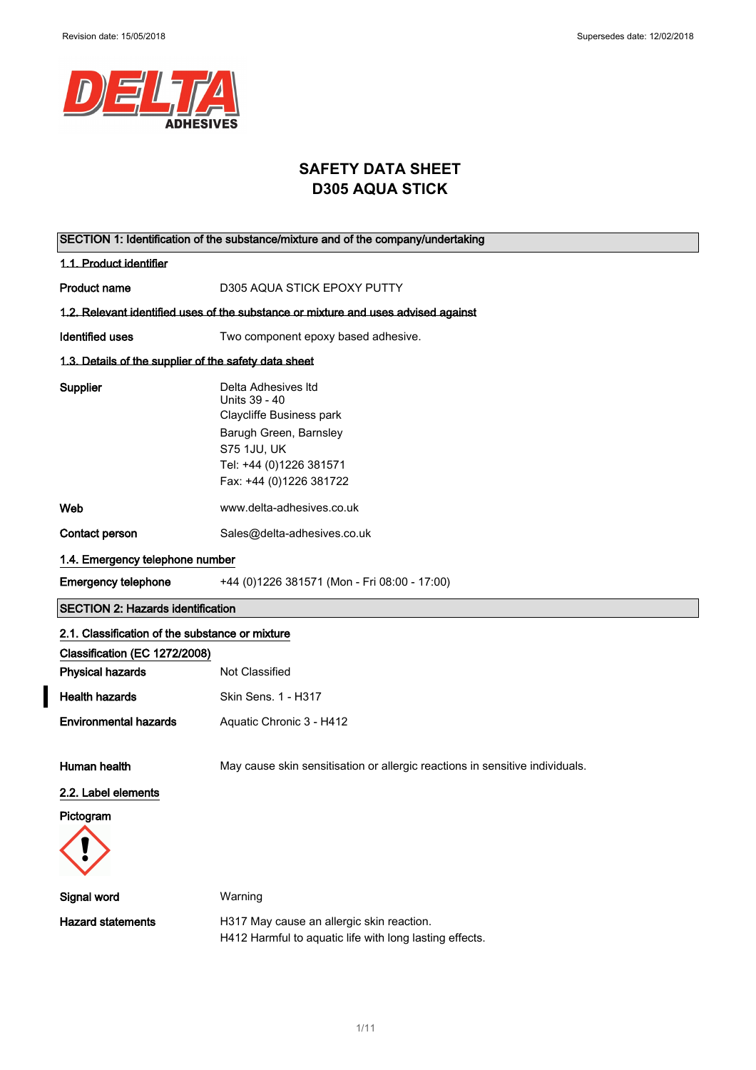$\overline{\mathbf{I}}$ 



# **SAFETY DATA SHEET D305 AQUA STICK**

| SECTION 1: Identification of the substance/mixture and of the company/undertaking |                                                                                                                                                                        |  |
|-----------------------------------------------------------------------------------|------------------------------------------------------------------------------------------------------------------------------------------------------------------------|--|
| 1.1. Product identifier                                                           |                                                                                                                                                                        |  |
| <b>Product name</b>                                                               | D305 AQUA STICK EPOXY PUTTY                                                                                                                                            |  |
|                                                                                   | 1.2. Relevant identified uses of the substance or mixture and uses advised against                                                                                     |  |
| <b>Identified uses</b>                                                            | Two component epoxy based adhesive.                                                                                                                                    |  |
| 1.3. Details of the supplier of the safety data sheet                             |                                                                                                                                                                        |  |
| Supplier                                                                          | Delta Adhesives Itd<br>Units 39 - 40<br>Claycliffe Business park<br>Barugh Green, Barnsley<br><b>S75 1JU, UK</b><br>Tel: +44 (0)1226 381571<br>Fax: +44 (0)1226 381722 |  |
| Web                                                                               | www.delta-adhesives.co.uk                                                                                                                                              |  |
| Contact person                                                                    | Sales@delta-adhesives.co.uk                                                                                                                                            |  |
| 1.4. Emergency telephone number                                                   |                                                                                                                                                                        |  |
| <b>Emergency telephone</b>                                                        | +44 (0)1226 381571 (Mon - Fri 08:00 - 17:00)                                                                                                                           |  |
| <b>SECTION 2: Hazards identification</b>                                          |                                                                                                                                                                        |  |
| 2.1. Classification of the substance or mixture                                   |                                                                                                                                                                        |  |
| Classification (EC 1272/2008)<br><b>Physical hazards</b>                          | Not Classified                                                                                                                                                         |  |
| <b>Health hazards</b>                                                             |                                                                                                                                                                        |  |
|                                                                                   | Skin Sens. 1 - H317                                                                                                                                                    |  |
| <b>Environmental hazards</b>                                                      | Aquatic Chronic 3 - H412                                                                                                                                               |  |
| Human health                                                                      |                                                                                                                                                                        |  |
|                                                                                   | May cause skin sensitisation or allergic reactions in sensitive individuals.                                                                                           |  |
| 2.2. Label elements                                                               |                                                                                                                                                                        |  |
| Pictogram                                                                         |                                                                                                                                                                        |  |
| Signal word                                                                       | Warning                                                                                                                                                                |  |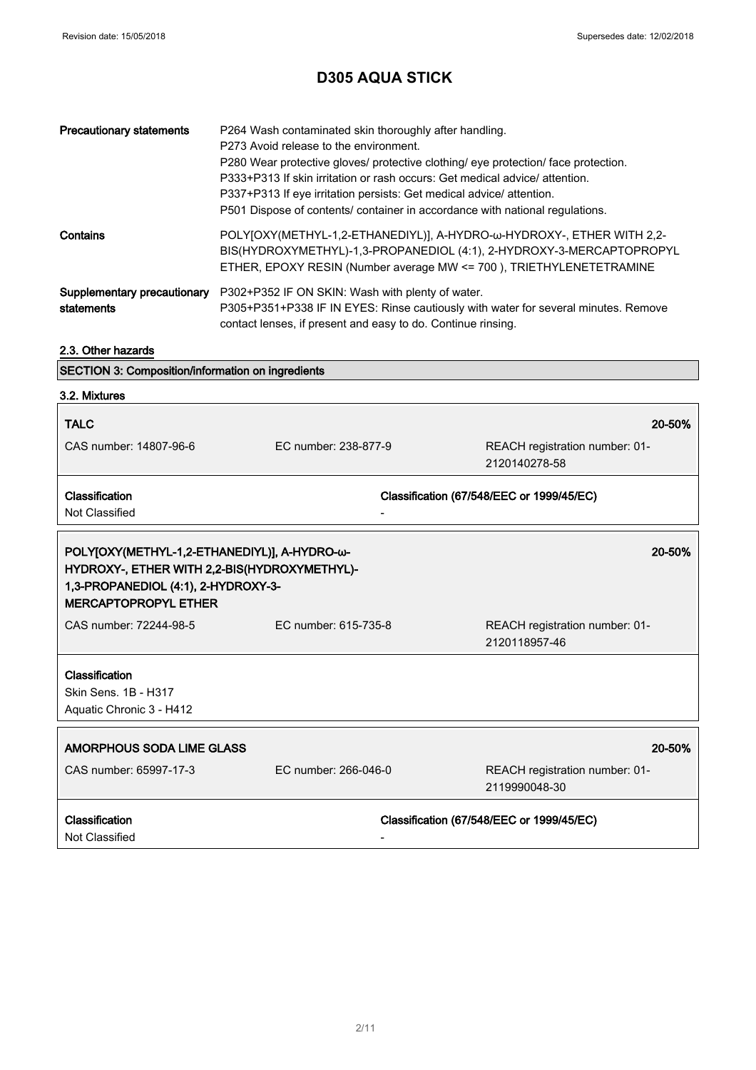| <b>Precautionary statements</b>           | P264 Wash contaminated skin thoroughly after handling.<br>P273 Avoid release to the environment.<br>P280 Wear protective gloves/ protective clothing/ eye protection/ face protection.<br>P333+P313 If skin irritation or rash occurs: Get medical advice/attention.<br>P337+P313 If eye irritation persists: Get medical advice/ attention.<br>P501 Dispose of contents/ container in accordance with national regulations. |
|-------------------------------------------|------------------------------------------------------------------------------------------------------------------------------------------------------------------------------------------------------------------------------------------------------------------------------------------------------------------------------------------------------------------------------------------------------------------------------|
| Contains                                  | POLY[OXY(METHYL-1,2-ETHANEDIYL)], A-HYDRO-w-HYDROXY-, ETHER WITH 2,2-<br>BIS(HYDROXYMETHYL)-1,3-PROPANEDIOL (4:1), 2-HYDROXY-3-MERCAPTOPROPYL<br>ETHER, EPOXY RESIN (Number average MW <= 700), TRIETHYLENETETRAMINE                                                                                                                                                                                                         |
| Supplementary precautionary<br>statements | P302+P352 IF ON SKIN: Wash with plenty of water.<br>P305+P351+P338 IF IN EYES: Rinse cautiously with water for several minutes. Remove<br>contact lenses, if present and easy to do. Continue rinsing.                                                                                                                                                                                                                       |

### 2.3. Other hazards

| <b>SECTION 3: Composition/information on ingredients</b> |  |
|----------------------------------------------------------|--|
|----------------------------------------------------------|--|

| 3.2. Mixtures                                                                                                                                                      |                      |                                                 |
|--------------------------------------------------------------------------------------------------------------------------------------------------------------------|----------------------|-------------------------------------------------|
| <b>TALC</b>                                                                                                                                                        |                      | 20-50%                                          |
| CAS number: 14807-96-6                                                                                                                                             | EC number: 238-877-9 | REACH registration number: 01-<br>2120140278-58 |
| Classification                                                                                                                                                     |                      | Classification (67/548/EEC or 1999/45/EC)       |
| Not Classified                                                                                                                                                     |                      |                                                 |
| POLY[OXY(METHYL-1,2-ETHANEDIYL)], A-HYDRO-ω-<br>HYDROXY-, ETHER WITH 2,2-BIS(HYDROXYMETHYL)-<br>1,3-PROPANEDIOL (4:1), 2-HYDROXY-3-<br><b>MERCAPTOPROPYL ETHER</b> |                      | 20-50%                                          |
| CAS number: 72244-98-5                                                                                                                                             | EC number: 615-735-8 | REACH registration number: 01-<br>2120118957-46 |
| Classification                                                                                                                                                     |                      |                                                 |
| Skin Sens. 1B - H317                                                                                                                                               |                      |                                                 |
| Aquatic Chronic 3 - H412                                                                                                                                           |                      |                                                 |
| AMORPHOUS SODA LIME GLASS                                                                                                                                          |                      | 20-50%                                          |
| CAS number: 65997-17-3                                                                                                                                             | EC number: 266-046-0 | REACH registration number: 01-<br>2119990048-30 |
| Classification<br>Not Classified                                                                                                                                   |                      | Classification (67/548/EEC or 1999/45/EC)       |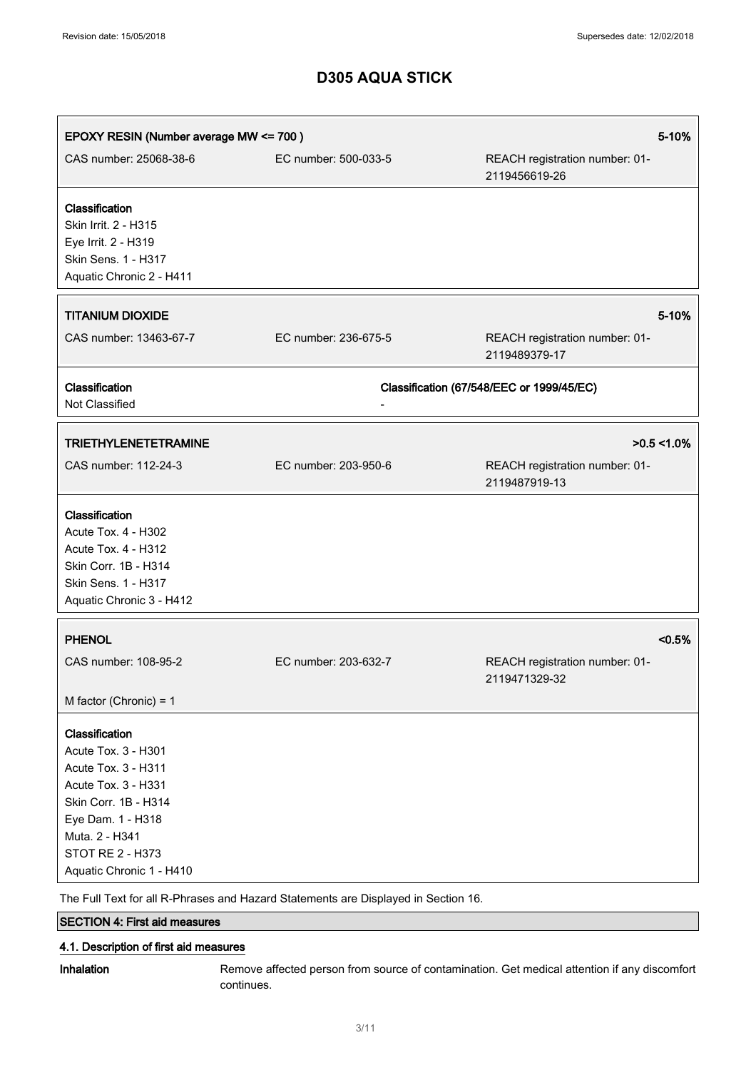| EPOXY RESIN (Number average MW <= 700)                                                                                                                                                                    |                                                                                   | 5-10%                                           |
|-----------------------------------------------------------------------------------------------------------------------------------------------------------------------------------------------------------|-----------------------------------------------------------------------------------|-------------------------------------------------|
| CAS number: 25068-38-6                                                                                                                                                                                    | EC number: 500-033-5                                                              | REACH registration number: 01-<br>2119456619-26 |
| Classification<br>Skin Irrit. 2 - H315<br>Eye Irrit. 2 - H319<br>Skin Sens. 1 - H317<br>Aquatic Chronic 2 - H411                                                                                          |                                                                                   |                                                 |
| <b>TITANIUM DIOXIDE</b>                                                                                                                                                                                   |                                                                                   | 5-10%                                           |
| CAS number: 13463-67-7                                                                                                                                                                                    | EC number: 236-675-5                                                              | REACH registration number: 01-<br>2119489379-17 |
| Classification<br>Not Classified                                                                                                                                                                          |                                                                                   | Classification (67/548/EEC or 1999/45/EC)       |
| <b>TRIETHYLENETETRAMINE</b>                                                                                                                                                                               |                                                                                   | $>0.5 < 1.0\%$                                  |
| CAS number: 112-24-3                                                                                                                                                                                      | EC number: 203-950-6                                                              | REACH registration number: 01-<br>2119487919-13 |
| Classification<br>Acute Tox. 4 - H302<br>Acute Tox. 4 - H312<br>Skin Corr. 1B - H314<br>Skin Sens. 1 - H317<br>Aquatic Chronic 3 - H412                                                                   |                                                                                   |                                                 |
| <b>PHENOL</b>                                                                                                                                                                                             |                                                                                   | < 0.5%                                          |
| CAS number: 108-95-2                                                                                                                                                                                      | EC number: 203-632-7                                                              | REACH registration number: 01-<br>2119471329-32 |
| M factor (Chronic) = $1$                                                                                                                                                                                  |                                                                                   |                                                 |
| Classification<br>Acute Tox. 3 - H301<br>Acute Tox. 3 - H311<br>Acute Tox. 3 - H331<br>Skin Corr. 1B - H314<br>Eye Dam. 1 - H318<br>Muta. 2 - H341<br><b>STOT RE 2 - H373</b><br>Aquatic Chronic 1 - H410 | The Full Text for all P Phrases and Hazard Statements are Displayed in Section 16 |                                                 |

The Full Text for all R-Phrases and Hazard Statements are Displayed in Section 16.

## SECTION 4: First aid measures

### 4.1. Description of first aid measures

Inhalation Remove affected person from source of contamination. Get medical attention if any discomfort continues.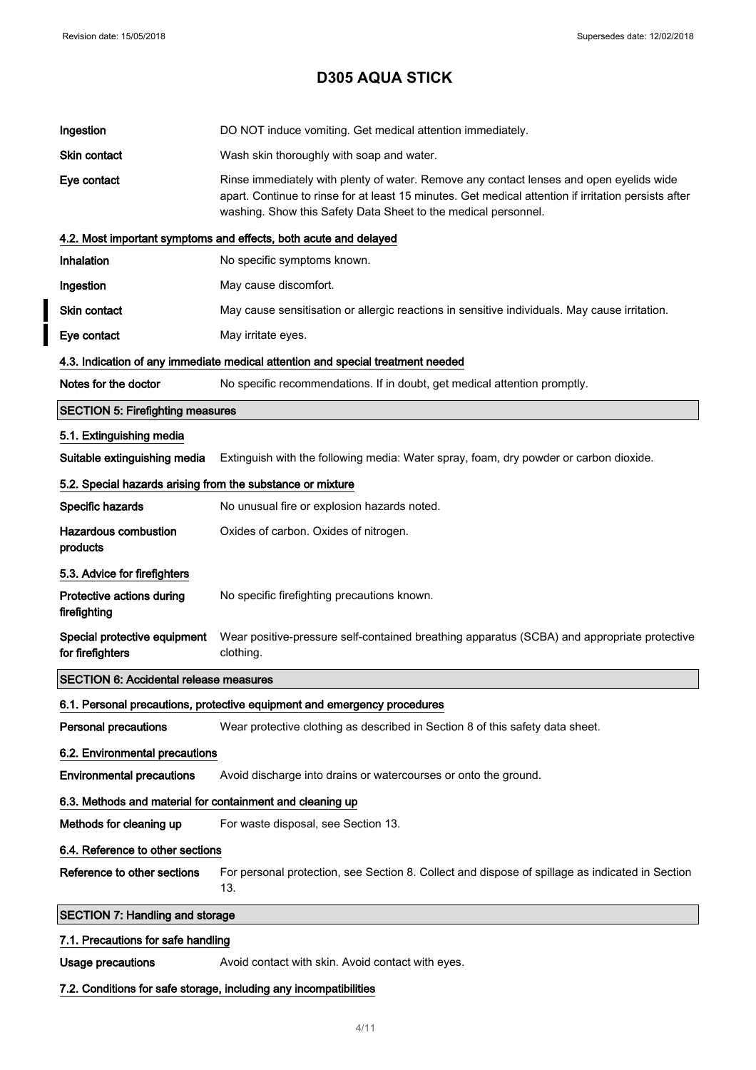l

# **D305 AQUA STICK**

| Ingestion                                                  | DO NOT induce vomiting. Get medical attention immediately.                                                                                                                                                                                                        |
|------------------------------------------------------------|-------------------------------------------------------------------------------------------------------------------------------------------------------------------------------------------------------------------------------------------------------------------|
| Skin contact                                               | Wash skin thoroughly with soap and water.                                                                                                                                                                                                                         |
| Eye contact                                                | Rinse immediately with plenty of water. Remove any contact lenses and open eyelids wide<br>apart. Continue to rinse for at least 15 minutes. Get medical attention if irritation persists after<br>washing. Show this Safety Data Sheet to the medical personnel. |
|                                                            | 4.2. Most important symptoms and effects, both acute and delayed                                                                                                                                                                                                  |
| Inhalation                                                 | No specific symptoms known.                                                                                                                                                                                                                                       |
| Ingestion                                                  | May cause discomfort.                                                                                                                                                                                                                                             |
| Skin contact                                               | May cause sensitisation or allergic reactions in sensitive individuals. May cause irritation.                                                                                                                                                                     |
| Eye contact                                                | May irritate eyes.                                                                                                                                                                                                                                                |
|                                                            | 4.3. Indication of any immediate medical attention and special treatment needed                                                                                                                                                                                   |
| Notes for the doctor                                       | No specific recommendations. If in doubt, get medical attention promptly.                                                                                                                                                                                         |
| <b>SECTION 5: Firefighting measures</b>                    |                                                                                                                                                                                                                                                                   |
| 5.1. Extinguishing media                                   |                                                                                                                                                                                                                                                                   |
| Suitable extinguishing media                               | Extinguish with the following media: Water spray, foam, dry powder or carbon dioxide.                                                                                                                                                                             |
| 5.2. Special hazards arising from the substance or mixture |                                                                                                                                                                                                                                                                   |
| Specific hazards                                           | No unusual fire or explosion hazards noted.                                                                                                                                                                                                                       |
| <b>Hazardous combustion</b><br>products                    | Oxides of carbon. Oxides of nitrogen.                                                                                                                                                                                                                             |
| 5.3. Advice for firefighters                               |                                                                                                                                                                                                                                                                   |
| Protective actions during<br>firefighting                  | No specific firefighting precautions known.                                                                                                                                                                                                                       |
| Special protective equipment<br>for firefighters           | Wear positive-pressure self-contained breathing apparatus (SCBA) and appropriate protective<br>clothing.                                                                                                                                                          |
| <b>SECTION 6: Accidental release measures</b>              |                                                                                                                                                                                                                                                                   |
|                                                            | 6.1. Personal precautions, protective equipment and emergency procedures                                                                                                                                                                                          |
| <b>Personal precautions</b>                                | Wear protective clothing as described in Section 8 of this safety data sheet.                                                                                                                                                                                     |
| 6.2. Environmental precautions                             |                                                                                                                                                                                                                                                                   |
| <b>Environmental precautions</b>                           | Avoid discharge into drains or watercourses or onto the ground.                                                                                                                                                                                                   |
| 6.3. Methods and material for containment and cleaning up  |                                                                                                                                                                                                                                                                   |
| Methods for cleaning up                                    | For waste disposal, see Section 13.                                                                                                                                                                                                                               |
| 6.4. Reference to other sections                           |                                                                                                                                                                                                                                                                   |
| Reference to other sections                                | For personal protection, see Section 8. Collect and dispose of spillage as indicated in Section<br>13.                                                                                                                                                            |
| <b>SECTION 7: Handling and storage</b>                     |                                                                                                                                                                                                                                                                   |
| 7.1. Precautions for safe handling                         |                                                                                                                                                                                                                                                                   |
|                                                            |                                                                                                                                                                                                                                                                   |
| <b>Usage precautions</b>                                   | Avoid contact with skin. Avoid contact with eyes.                                                                                                                                                                                                                 |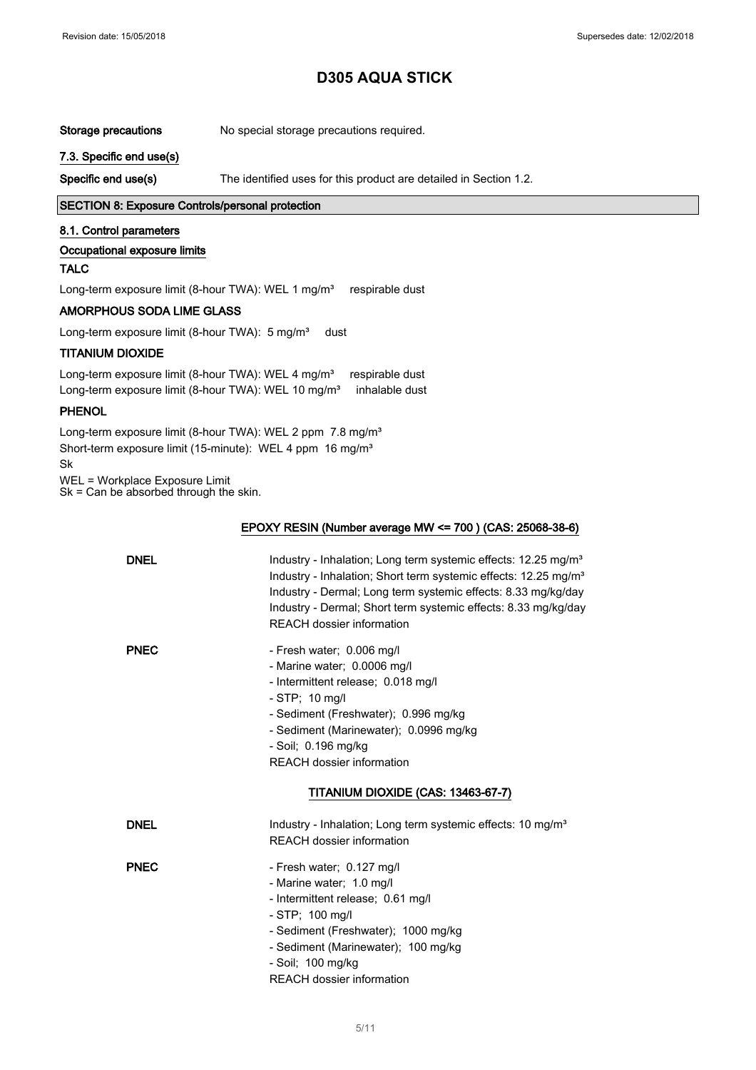Storage precautions No special storage precautions required.

7.3. Specific end use(s)

Specific end use(s) The identified uses for this product are detailed in Section 1.2.

#### SECTION 8: Exposure Controls/personal protection

#### 8.1. Control parameters

#### Occupational exposure limits

### TALC

Long-term exposure limit (8-hour TWA): WEL 1 mg/m<sup>3</sup> respirable dust

#### AMORPHOUS SODA LIME GLASS

Long-term exposure limit (8-hour TWA): 5 mg/m<sup>3</sup> dust

### TITANIUM DIOXIDE

Long-term exposure limit (8-hour TWA): WEL 4 mg/m<sup>3</sup> respirable dust Long-term exposure limit (8-hour TWA): WEL 10 mg/m<sup>3</sup> inhalable dust

#### PHENOL

Long-term exposure limit (8-hour TWA): WEL 2 ppm 7.8 mg/m<sup>3</sup> Short-term exposure limit (15-minute): WEL 4 ppm 16 mg/m<sup>3</sup> Sk

WEL = Workplace Exposure Limit

Sk = Can be absorbed through the skin.

#### EPOXY RESIN (Number average MW <= 700 ) (CAS: 25068-38-6)

| <b>DNEL</b> | Industry - Inhalation; Long term systemic effects: 12.25 mg/m <sup>3</sup><br>Industry - Inhalation; Short term systemic effects: 12.25 mg/m <sup>3</sup><br>Industry - Dermal; Long term systemic effects: 8.33 mg/kg/day<br>Industry - Dermal; Short term systemic effects: 8.33 mg/kg/day<br><b>REACH dossier information</b> |
|-------------|----------------------------------------------------------------------------------------------------------------------------------------------------------------------------------------------------------------------------------------------------------------------------------------------------------------------------------|
| <b>PNEC</b> | - Fresh water; 0.006 mg/l<br>- Marine water; 0.0006 mg/l<br>- Intermittent release; 0.018 mg/l<br>$- STP$ ; 10 mg/l<br>- Sediment (Freshwater); 0.996 mg/kg<br>- Sediment (Marinewater); 0.0996 mg/kg<br>- Soil; 0.196 mg/kg<br><b>REACH dossier information</b>                                                                 |
|             | TITANIUM DIOXIDE (CAS: 13463-67-7)                                                                                                                                                                                                                                                                                               |
| <b>DNEL</b> | Industry - Inhalation; Long term systemic effects: 10 mg/m <sup>3</sup><br><b>REACH dossier information</b>                                                                                                                                                                                                                      |
| <b>PNEC</b> | - Fresh water; 0.127 mg/l<br>- Marine water; 1.0 mg/l<br>- Intermittent release; 0.61 mg/l<br>$-$ STP; 100 mg/l<br>- Sediment (Freshwater); 1000 mg/kg<br>- Sediment (Marinewater); 100 mg/kg<br>- Soil; 100 mg/kg<br><b>REACH dossier information</b>                                                                           |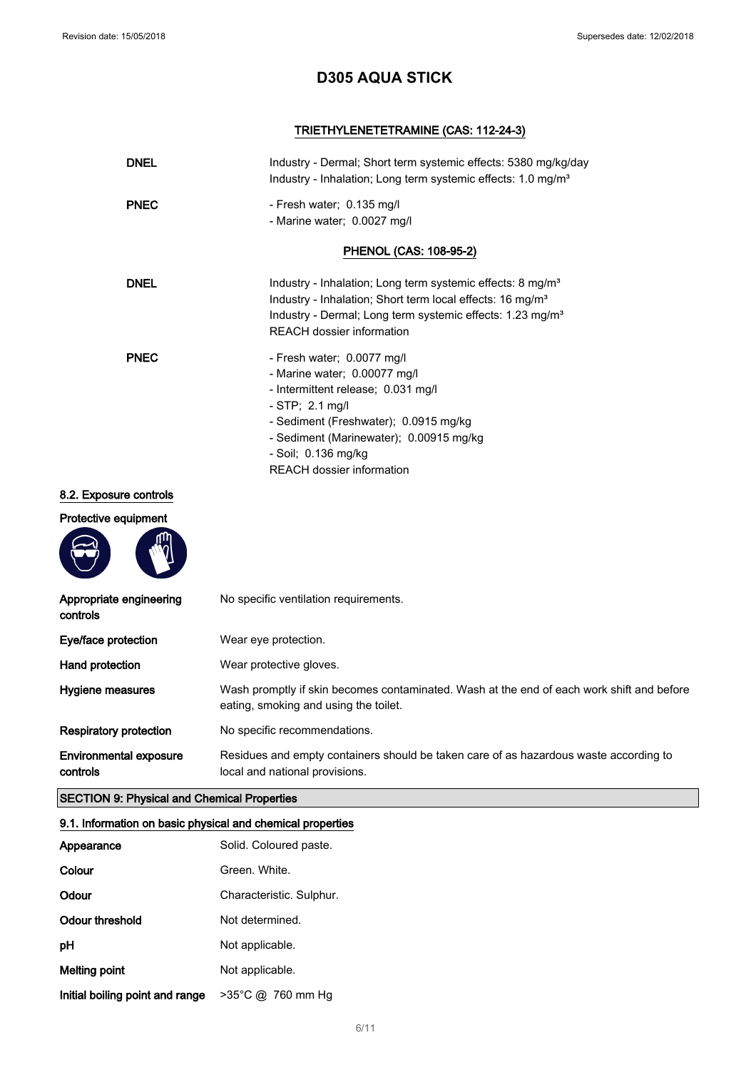## TRIETHYLENETETRAMINE (CAS: 112-24-3)

| <b>DNEL</b> | Industry - Dermal; Short term systemic effects: 5380 mg/kg/day<br>Industry - Inhalation; Long term systemic effects: 1.0 mg/m <sup>3</sup>                                                                                                                           |
|-------------|----------------------------------------------------------------------------------------------------------------------------------------------------------------------------------------------------------------------------------------------------------------------|
| <b>PNEC</b> | - Fresh water; 0.135 mg/l<br>- Marine water; 0.0027 mg/l                                                                                                                                                                                                             |
|             | PHENOL (CAS: 108-95-2)                                                                                                                                                                                                                                               |
| <b>DNEL</b> | Industry - Inhalation; Long term systemic effects: 8 mg/m <sup>3</sup><br>Industry - Inhalation; Short term local effects: 16 mg/m <sup>3</sup><br>Industry - Dermal; Long term systemic effects: 1.23 mg/m <sup>3</sup><br>REACH dossier information                |
| <b>PNEC</b> | - Fresh water; 0.0077 mg/l<br>- Marine water; 0.00077 mg/l<br>- Intermittent release; 0.031 mg/l<br>$-$ STP; 2.1 mg/l<br>- Sediment (Freshwater); 0.0915 mg/kg<br>- Sediment (Marinewater); 0.00915 mg/kg<br>- Soil; 0.136 mg/kg<br><b>REACH dossier information</b> |

### 8.2. Exposure controls

### Protective equipment



| Appropriate engineering<br>controls       | No specific ventilation requirements.                                                                                              |
|-------------------------------------------|------------------------------------------------------------------------------------------------------------------------------------|
| Eye/face protection                       | Wear eye protection.                                                                                                               |
| Hand protection                           | Wear protective gloves.                                                                                                            |
| Hygiene measures                          | Wash promptly if skin becomes contaminated. Wash at the end of each work shift and before<br>eating, smoking and using the toilet. |
| <b>Respiratory protection</b>             | No specific recommendations.                                                                                                       |
| <b>Environmental exposure</b><br>controls | Residues and empty containers should be taken care of as hazardous waste according to<br>local and national provisions.            |

## SECTION 9: Physical and Chemical Properties

### 9.1. Information on basic physical and chemical properties

| Appearance                      | Solid. Coloured paste.   |
|---------------------------------|--------------------------|
| Colour                          | Green. White.            |
| Odour                           | Characteristic. Sulphur. |
| Odour threshold                 | Not determined.          |
| рH                              | Not applicable.          |
| Melting point                   | Not applicable.          |
| Initial boiling point and range | >35°C @ 760 mm Hg        |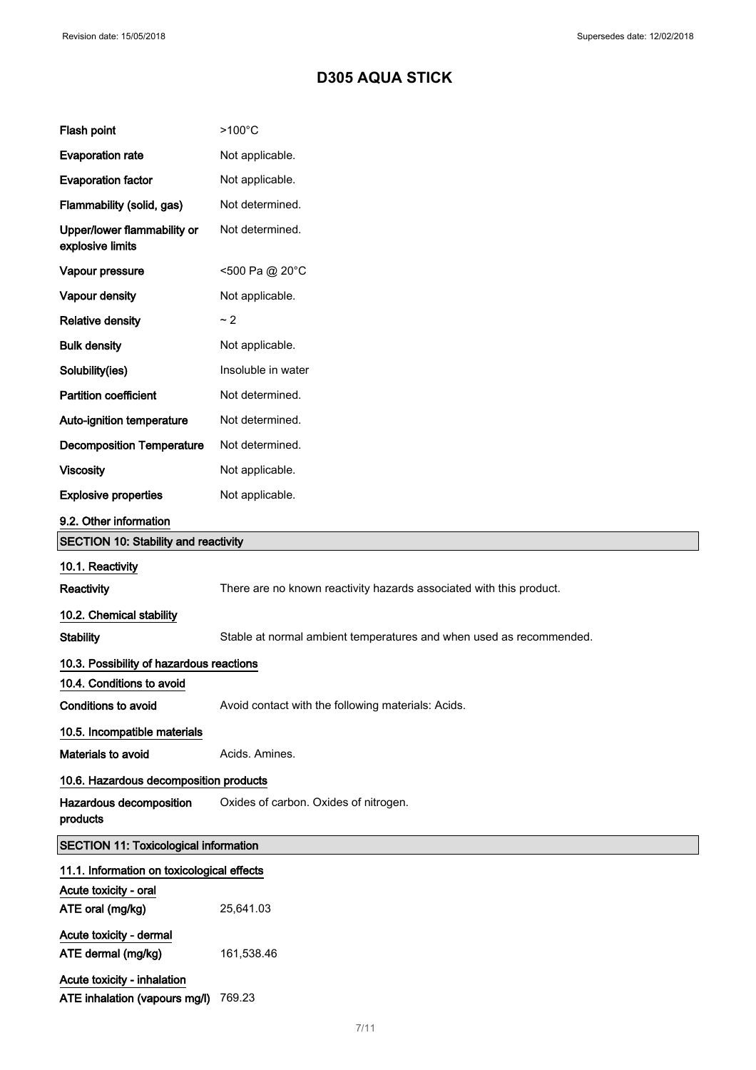| Flash point                                     | $>100^{\circ}$ C                                                    |
|-------------------------------------------------|---------------------------------------------------------------------|
| <b>Evaporation rate</b>                         | Not applicable.                                                     |
| <b>Evaporation factor</b>                       | Not applicable.                                                     |
| Flammability (solid, gas)                       | Not determined.                                                     |
| Upper/lower flammability or<br>explosive limits | Not determined.                                                     |
| Vapour pressure                                 | <500 Pa @ 20°C                                                      |
| Vapour density                                  | Not applicable.                                                     |
| <b>Relative density</b>                         | ~2                                                                  |
| <b>Bulk density</b>                             | Not applicable.                                                     |
| Solubility(ies)                                 | Insoluble in water                                                  |
| Partition coefficient                           | Not determined.                                                     |
| Auto-ignition temperature                       | Not determined.                                                     |
| <b>Decomposition Temperature</b>                | Not determined.                                                     |
| <b>Viscosity</b>                                | Not applicable.                                                     |
| <b>Explosive properties</b>                     | Not applicable.                                                     |
| 9.2. Other information                          |                                                                     |
| <b>SECTION 10: Stability and reactivity</b>     |                                                                     |
| 10.1. Reactivity                                |                                                                     |
| <b>Reactivity</b>                               | There are no known reactivity hazards associated with this product. |
| 10.2. Chemical stability                        |                                                                     |
| <b>Stability</b>                                | Stable at normal ambient temperatures and when used as recommended. |
| 10.3. Possibility of hazardous reactions        |                                                                     |
| 10.4. Conditions to avoid                       |                                                                     |
| Conditions to avoid                             | Avoid contact with the following materials: Acids.                  |
| 10.5. Incompatible materials                    |                                                                     |
| Materials to avoid                              | Acids. Amines.                                                      |
| 10.6. Hazardous decomposition products          |                                                                     |
| Hazardous decomposition<br>products             | Oxides of carbon. Oxides of nitrogen.                               |
| <b>SECTION 11: Toxicological information</b>    |                                                                     |
| 11.1. Information on toxicological effects      |                                                                     |
| Acute toxicity - oral                           |                                                                     |
| ATE oral (mg/kg)                                | 25,641.03                                                           |
| Acute toxicity - dermal                         |                                                                     |
| ATE dermal (mg/kg)                              | 161,538.46                                                          |
| Acute toxicity - inhalation                     |                                                                     |
| ATE inhalation (vapours mg/l)                   | 769.23                                                              |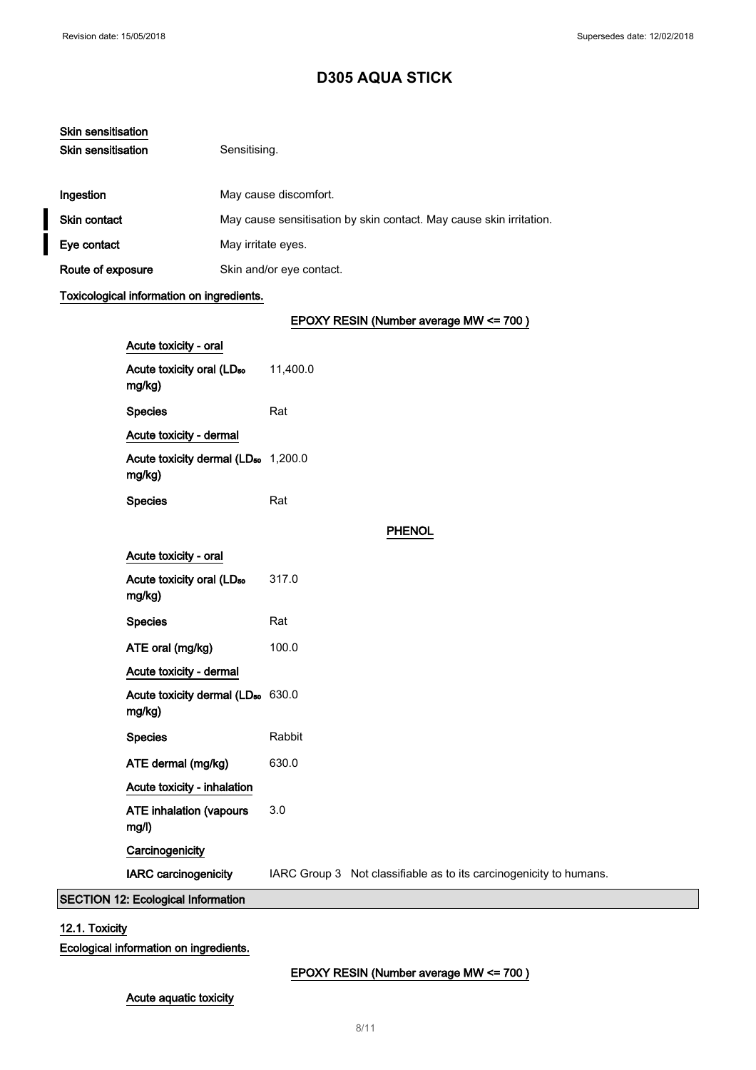| Skin sensitisation        |                                                                     |
|---------------------------|---------------------------------------------------------------------|
| <b>Skin sensitisation</b> | Sensitising.                                                        |
| Ingestion                 | May cause discomfort.                                               |
| <b>Skin contact</b>       | May cause sensitisation by skin contact. May cause skin irritation. |
| Eye contact               | May irritate eyes.                                                  |
| Route of exposure         | Skin and/or eye contact.                                            |

## Toxicological information on ingredients.

## EPOXY RESIN (Number average MW <= 700 )

|                                           | Acute toxicity - oral                                     |          |                                                                    |  |
|-------------------------------------------|-----------------------------------------------------------|----------|--------------------------------------------------------------------|--|
|                                           | Acute toxicity oral (LD <sub>50</sub><br>mg/kg)           | 11,400.0 |                                                                    |  |
|                                           | <b>Species</b>                                            | Rat      |                                                                    |  |
|                                           | Acute toxicity - dermal                                   |          |                                                                    |  |
|                                           | Acute toxicity dermal (LD <sub>50</sub> 1,200.0<br>mg/kg) |          |                                                                    |  |
|                                           | <b>Species</b>                                            | Rat      |                                                                    |  |
|                                           |                                                           |          | <b>PHENOL</b>                                                      |  |
|                                           | Acute toxicity - oral                                     |          |                                                                    |  |
|                                           | Acute toxicity oral (LD <sub>50</sub><br>mg/kg)           | 317.0    |                                                                    |  |
|                                           | <b>Species</b>                                            | Rat      |                                                                    |  |
|                                           | ATE oral (mg/kg)                                          | 100.0    |                                                                    |  |
|                                           | Acute toxicity - dermal                                   |          |                                                                    |  |
|                                           | Acute toxicity dermal (LD <sub>50</sub> 630.0<br>mg/kg)   |          |                                                                    |  |
|                                           | <b>Species</b>                                            | Rabbit   |                                                                    |  |
|                                           | ATE dermal (mg/kg)                                        | 630.0    |                                                                    |  |
|                                           | Acute toxicity - inhalation                               |          |                                                                    |  |
|                                           | <b>ATE inhalation (vapours</b><br>mg/l)                   | 3.0      |                                                                    |  |
|                                           | Carcinogenicity                                           |          |                                                                    |  |
|                                           | <b>IARC carcinogenicity</b>                               |          | IARC Group 3 Not classifiable as to its carcinogenicity to humans. |  |
| <b>SECTION 12: Ecological Information</b> |                                                           |          |                                                                    |  |

## 12.1. Toxicity

Ecological information on ingredients.

## EPOXY RESIN (Number average MW <= 700 )

Acute aquatic toxicity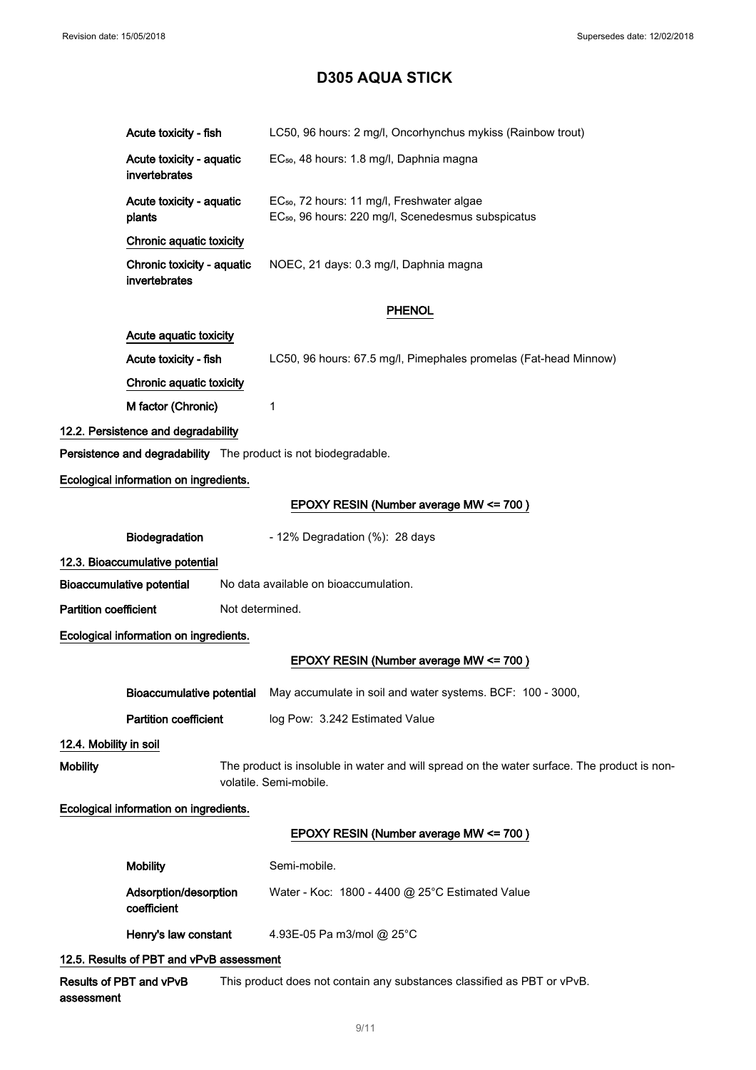|                                        | Acute toxicity - fish                                                                                                 | LC50, 96 hours: 2 mg/l, Oncorhynchus mykiss (Rainbow trout)                                                              |  |  |  |  |
|----------------------------------------|-----------------------------------------------------------------------------------------------------------------------|--------------------------------------------------------------------------------------------------------------------------|--|--|--|--|
|                                        | Acute toxicity - aquatic<br>invertebrates                                                                             | EC <sub>50</sub> , 48 hours: 1.8 mg/l, Daphnia magna                                                                     |  |  |  |  |
|                                        | Acute toxicity - aquatic<br>plants                                                                                    | EC <sub>50</sub> , 72 hours: 11 mg/l, Freshwater algae<br>EC <sub>50</sub> , 96 hours: 220 mg/l, Scenedesmus subspicatus |  |  |  |  |
|                                        | Chronic aquatic toxicity                                                                                              |                                                                                                                          |  |  |  |  |
|                                        | Chronic toxicity - aquatic<br>invertebrates                                                                           | NOEC, 21 days: 0.3 mg/l, Daphnia magna                                                                                   |  |  |  |  |
|                                        | <b>PHENOL</b>                                                                                                         |                                                                                                                          |  |  |  |  |
|                                        | Acute aquatic toxicity                                                                                                |                                                                                                                          |  |  |  |  |
|                                        | Acute toxicity - fish                                                                                                 | LC50, 96 hours: 67.5 mg/l, Pimephales promelas (Fat-head Minnow)                                                         |  |  |  |  |
|                                        | Chronic aquatic toxicity                                                                                              |                                                                                                                          |  |  |  |  |
|                                        | M factor (Chronic)                                                                                                    | 1                                                                                                                        |  |  |  |  |
|                                        | 12.2. Persistence and degradability                                                                                   |                                                                                                                          |  |  |  |  |
|                                        | Persistence and degradability The product is not biodegradable.                                                       |                                                                                                                          |  |  |  |  |
|                                        | Ecological information on ingredients.                                                                                |                                                                                                                          |  |  |  |  |
|                                        |                                                                                                                       | EPOXY RESIN (Number average MW <= 700)                                                                                   |  |  |  |  |
|                                        | Biodegradation                                                                                                        | - 12% Degradation (%): 28 days                                                                                           |  |  |  |  |
|                                        | 12.3. Bioaccumulative potential                                                                                       |                                                                                                                          |  |  |  |  |
|                                        | <b>Bioaccumulative potential</b>                                                                                      | No data available on bioaccumulation.                                                                                    |  |  |  |  |
| <b>Partition coefficient</b>           | Not determined.                                                                                                       |                                                                                                                          |  |  |  |  |
| Ecological information on ingredients. |                                                                                                                       |                                                                                                                          |  |  |  |  |
|                                        |                                                                                                                       | EPOXY RESIN (Number average MW <= 700)                                                                                   |  |  |  |  |
|                                        |                                                                                                                       | Bioaccumulative potential May accumulate in soil and water systems. BCF: 100 - 3000,                                     |  |  |  |  |
|                                        | <b>Partition coefficient</b>                                                                                          | log Pow: 3.242 Estimated Value                                                                                           |  |  |  |  |
| 12.4. Mobility in soil                 |                                                                                                                       |                                                                                                                          |  |  |  |  |
| <b>Mobility</b>                        | The product is insoluble in water and will spread on the water surface. The product is non-<br>volatile. Semi-mobile. |                                                                                                                          |  |  |  |  |
|                                        | Ecological information on ingredients.                                                                                |                                                                                                                          |  |  |  |  |
|                                        |                                                                                                                       | EPOXY RESIN (Number average MW <= 700)                                                                                   |  |  |  |  |
|                                        | <b>Mobility</b>                                                                                                       | Semi-mobile.                                                                                                             |  |  |  |  |
|                                        | Adsorption/desorption<br>coefficient                                                                                  | Water - Koc: 1800 - 4400 @ 25°C Estimated Value                                                                          |  |  |  |  |
|                                        | Henry's law constant                                                                                                  | 4.93E-05 Pa m3/mol @ 25°C                                                                                                |  |  |  |  |
|                                        | 12.5. Results of PBT and vPvB assessment                                                                              |                                                                                                                          |  |  |  |  |

Results of PBT and vPvB assessment This product does not contain any substances classified as PBT or vPvB.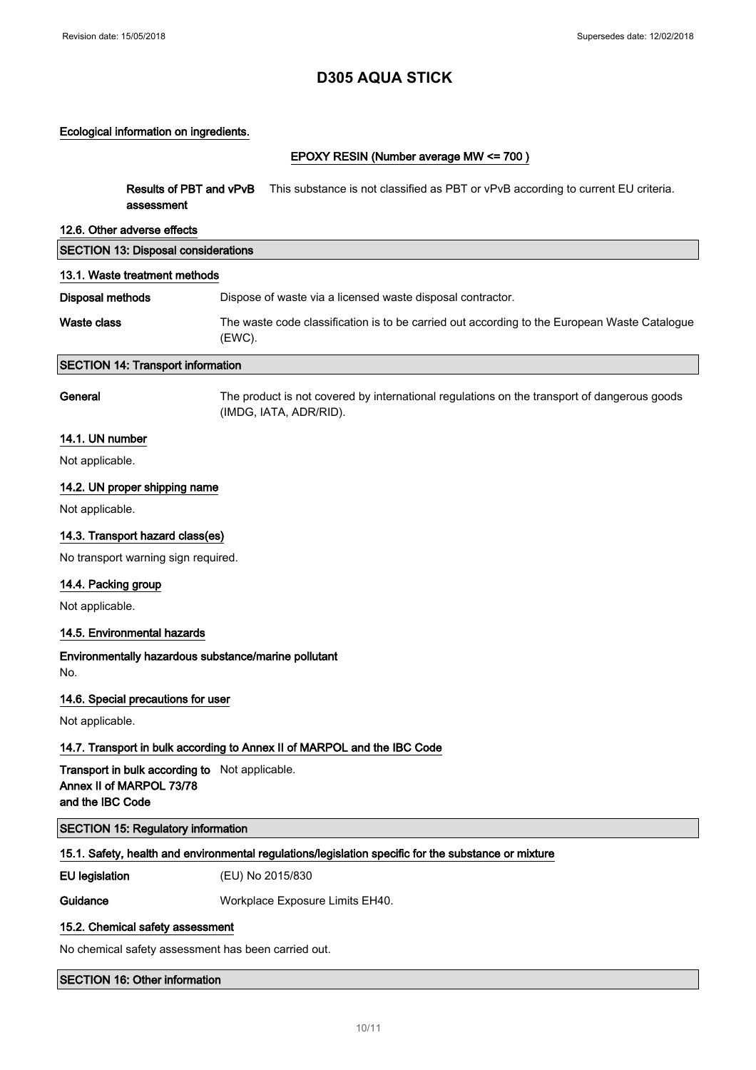#### Ecological information on ingredients.

## EPOXY RESIN (Number average MW <= 700 )

| Results of PBT and vPvB<br>assessment                                                          | This substance is not classified as PBT or vPvB according to current EU criteria.                                     |
|------------------------------------------------------------------------------------------------|-----------------------------------------------------------------------------------------------------------------------|
| 12.6. Other adverse effects                                                                    |                                                                                                                       |
| <b>SECTION 13: Disposal considerations</b>                                                     |                                                                                                                       |
| 13.1. Waste treatment methods                                                                  |                                                                                                                       |
| Disposal methods                                                                               | Dispose of waste via a licensed waste disposal contractor.                                                            |
| Waste class                                                                                    | The waste code classification is to be carried out according to the European Waste Catalogue<br>(EWC).                |
| <b>SECTION 14: Transport information</b>                                                       |                                                                                                                       |
| General                                                                                        | The product is not covered by international regulations on the transport of dangerous goods<br>(IMDG, IATA, ADR/RID). |
| 14.1. UN number                                                                                |                                                                                                                       |
| Not applicable.                                                                                |                                                                                                                       |
| 14.2. UN proper shipping name                                                                  |                                                                                                                       |
| Not applicable.                                                                                |                                                                                                                       |
| 14.3. Transport hazard class(es)                                                               |                                                                                                                       |
| No transport warning sign required.                                                            |                                                                                                                       |
| 14.4. Packing group                                                                            |                                                                                                                       |
| Not applicable.                                                                                |                                                                                                                       |
| 14.5. Environmental hazards                                                                    |                                                                                                                       |
| Environmentally hazardous substance/marine pollutant<br>No.                                    |                                                                                                                       |
| 14.6. Special precautions for user                                                             |                                                                                                                       |
| Not applicable.                                                                                |                                                                                                                       |
|                                                                                                | 14.7. Transport in bulk according to Annex II of MARPOL and the IBC Code                                              |
| Transport in bulk according to Not applicable.<br>Annex II of MARPOL 73/78<br>and the IBC Code |                                                                                                                       |
| <b>SECTION 15: Regulatory information</b>                                                      |                                                                                                                       |
|                                                                                                | 15.1. Safety, health and environmental regulations/legislation specific for the substance or mixture                  |
| <b>EU</b> legislation                                                                          | (EU) No 2015/830                                                                                                      |
| Guidance                                                                                       | Workplace Exposure Limits EH40.                                                                                       |
| 15.2. Chemical safety assessment                                                               |                                                                                                                       |
|                                                                                                |                                                                                                                       |

No chemical safety assessment has been carried out.

SECTION 16: Other information